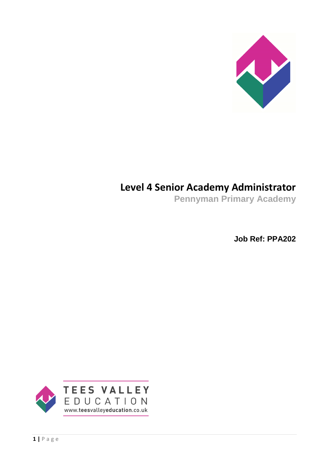

# **Level 4 Senior Academy Administrator**

**Pennyman Primary Academy**

**Job Ref: PPA202**

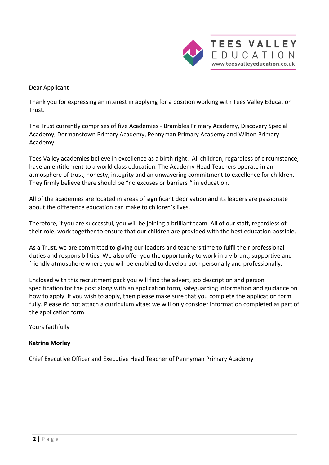

Dear Applicant

Thank you for expressing an interest in applying for a position working with Tees Valley Education Trust.

The Trust currently comprises of five Academies - Brambles Primary Academy, Discovery Special Academy, Dormanstown Primary Academy, Pennyman Primary Academy and Wilton Primary Academy.

Tees Valley academies believe in excellence as a birth right. All children, regardless of circumstance, have an entitlement to a world class education. The Academy Head Teachers operate in an atmosphere of trust, honesty, integrity and an unwavering commitment to excellence for children. They firmly believe there should be "no excuses or barriers!" in education.

All of the academies are located in areas of significant deprivation and its leaders are passionate about the difference education can make to children's lives.

Therefore, if you are successful, you will be joining a brilliant team. All of our staff, regardless of their role, work together to ensure that our children are provided with the best education possible.

As a Trust, we are committed to giving our leaders and teachers time to fulfil their professional duties and responsibilities. We also offer you the opportunity to work in a vibrant, supportive and friendly atmosphere where you will be enabled to develop both personally and professionally.

Enclosed with this recruitment pack you will find the advert, job description and person specification for the post along with an application form, safeguarding information and guidance on how to apply. If you wish to apply, then please make sure that you complete the application form fully. Please do not attach a curriculum vitae: we will only consider information completed as part of the application form.

Yours faithfully

### **Katrina Morley**

Chief Executive Officer and Executive Head Teacher of Pennyman Primary Academy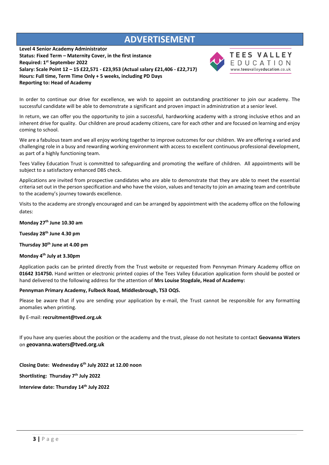# **ADVERTISEMENT**

**Level 4 Senior Academy Administrator Status: Fixed Term – Maternity Cover, in the first instance Required: 1 st September 2022 Salary: Scale Point 12 – 15 £22,571 - £23,953 (Actual salary £21,406 - £22,717) Hours: Full time, Term Time Only + 5 weeks, including PD Days Reporting to: Head of Academy**



#### **TEES VALLEY** EDUCATION www.teesvalleyeducation.co.uk

In order to continue our drive for excellence, we wish to appoint an outstanding practitioner to join our academy. The successful candidate will be able to demonstrate a significant and proven impact in administration at a senior level.

In return, we can offer you the opportunity to join a successful, hardworking academy with a strong inclusive ethos and an inherent drive for quality. Our children are proud academy citizens, care for each other and are focused on learning and enjoy coming to school.

We are a fabulous team and we all enjoy working together to improve outcomes for our children. We are offering a varied and challenging role in a busy and rewarding working environment with access to excellent continuous professional development, as part of a highly functioning team.

Tees Valley Education Trust is committed to safeguarding and promoting the welfare of children. All appointments will be subject to a satisfactory enhanced DBS check.

Applications are invited from prospective candidates who are able to demonstrate that they are able to meet the essential criteria set out in the person specification and who have the vision, values and tenacity to join an amazing team and contribute to the academy's journey towards excellence.

Visits to the academy are strongly encouraged and can be arranged by appointment with the academy office on the following dates:

**Monday 27 th June 10.30 am** 

**Tuesday 28th June 4.30 pm** 

**Thursday 30th June at 4.00 pm**

**Monday 4th July at 3.30pm**

Application packs can be printed directly from the Trust website or requested from Pennyman Primary Academy office on **01642 314750.** Hand written or electronic printed copies of the Tees Valley Education application form should be posted or hand delivered to the following address for the attention of **Mrs Louise Stogdale, Head of Academy:**

**Pennyman Primary Academy, Fulbeck Road, Middlesbrough, TS3 OQS.**

Please be aware that if you are sending your application by e-mail, the Trust cannot be responsible for any formatting anomalies when printing.

By E-mail: **[recruitment@tved.org.uk](mailto:recruitment@tved.org.uk)**

If you have any queries about the position or the academy and the trust, please do not hesitate to contact **Geovanna Waters** on **geovanna.waters@tved.org.uk**

**Closing Date: Wednesday 6 th July 2022 at 12.00 noon**

**Shortlisting: Thursday 7 th July 2022**

**Interview date: Thursday 14th July 2022**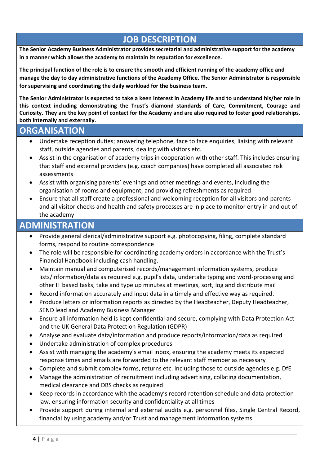# **JOB DESCRIPTION**

**The Senior Academy Business Administrator provides secretarial and administrative support for the academy in a manner which allows the academy to maintain its reputation for excellence.**

**The principal function of the role is to ensure the smooth and efficient running of the academy office and manage the day to day administrative functions of the Academy Office. The Senior Administrator is responsible for supervising and coordinating the daily workload for the business team.**

**The Senior Administrator is expected to take a keen interest in Academy life and to understand his/her role in this context including demonstrating the Trust's diamond standards of Care, Commitment, Courage and Curiosity. They are the key point of contact for the Academy and are also required to foster good relationships, both internally and externally.**

### **ORGANISATION**

- Undertake reception duties; answering telephone, face to face enquiries, liaising with relevant staff, outside agencies and parents, dealing with visitors etc.
- Assist in the organisation of academy trips in cooperation with other staff. This includes ensuring that staff and external providers (e.g. coach companies) have completed all associated risk assessments
- Assist with organising parents' evenings and other meetings and events, including the organisation of rooms and equipment, and providing refreshments as required
- Ensure that all staff create a professional and welcoming reception for all visitors and parents and all visitor checks and health and safety processes are in place to monitor entry in and out of the academy

# **ADMINISTRATION**

- Provide general clerical/administrative support e.g. photocopying, filing, complete standard forms, respond to routine correspondence
- The role will be responsible for coordinating academy orders in accordance with the Trust's Financial Handbook including cash handling.
- Maintain manual and computerised records/management information systems, produce lists/information/data as required e.g. pupil's data, undertake typing and word-processing and other IT based tasks, take and type up minutes at meetings, sort, log and distribute mail
- Record information accurately and input data in a timely and effective way as required.
- Produce letters or information reports as directed by the Headteacher, Deputy Headteacher, SEND lead and Academy Business Manager
- Ensure all information held is kept confidential and secure, complying with Data Protection Act and the UK General Data Protection Regulation (GDPR)
- Analyse and evaluate data/information and produce reports/information/data as required
- Undertake administration of complex procedures
- Assist with managing the academy's email inbox, ensuring the academy meets its expected response times and emails are forwarded to the relevant staff member as necessary
- Complete and submit complex forms, returns etc. including those to outside agencies e.g. DfE
- Manage the administration of recruitment including advertising, collating documentation, medical clearance and DBS checks as required
- Keep records in accordance with the academy's record retention schedule and data protection law, ensuring information security and confidentiality at all times
- Provide support during internal and external audits e.g. personnel files, Single Central Record, financial by using academy and/or Trust and management information systems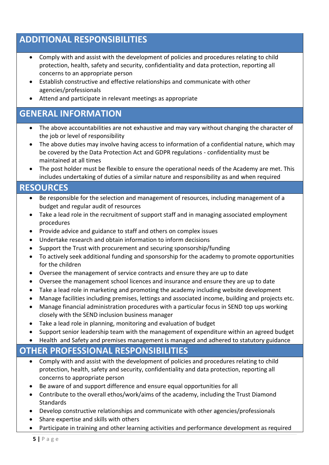# **ADDITIONAL RESPONSIBILITIES**

- Comply with and assist with the development of policies and procedures relating to child protection, health, safety and security, confidentiality and data protection, reporting all concerns to an appropriate person
- Establish constructive and effective relationships and communicate with other agencies/professionals
- Attend and participate in relevant meetings as appropriate

# **GENERAL INFORMATION**

- The above accountabilities are not exhaustive and may vary without changing the character of the job or level of responsibility
- The above duties may involve having access to information of a confidential nature, which may be covered by the Data Protection Act and GDPR regulations - confidentiality must be maintained at all times
- The post holder must be flexible to ensure the operational needs of the Academy are met. This includes undertaking of duties of a similar nature and responsibility as and when required

### **RESOURCES**

- Be responsible for the selection and management of resources, including management of a budget and regular audit of resources
- Take a lead role in the recruitment of support staff and in managing associated employment procedures
- Provide advice and guidance to staff and others on complex issues
- Undertake research and obtain information to inform decisions
- Support the Trust with procurement and securing sponsorship/funding
- To actively seek additional funding and sponsorship for the academy to promote opportunities for the children
- Oversee the management of service contracts and ensure they are up to date
- Oversee the management school licences and insurance and ensure they are up to date
- Take a lead role in marketing and promoting the academy including website development
- Manage facilities including premises, lettings and associated income, building and projects etc.
- Manage financial administration procedures with a particular focus in SEND top ups working closely with the SEND inclusion business manager
- Take a lead role in planning, monitoring and evaluation of budget
- Support senior leadership team with the management of expenditure within an agreed budget
- Health and Safety and premises management is managed and adhered to statutory guidance

### **OTHER PROFESSIONAL RESPONSIBILITIES**

- Comply with and assist with the development of policies and procedures relating to child protection, health, safety and security, confidentiality and data protection, reporting all concerns to appropriate person
- Be aware of and support difference and ensure equal opportunities for all
- Contribute to the overall ethos/work/aims of the academy, including the Trust Diamond Standards
- Develop constructive relationships and communicate with other agencies/professionals
- Share expertise and skills with others
- Participate in training and other learning activities and performance development as required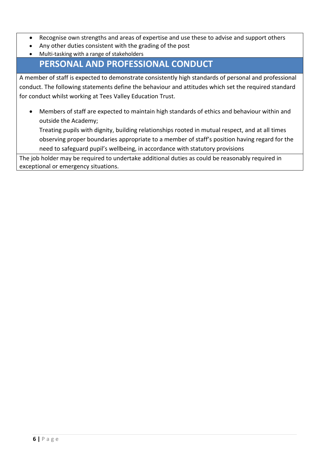- Recognise own strengths and areas of expertise and use these to advise and support others
- Any other duties consistent with the grading of the post
- Multi-tasking with a range of stakeholders

# **PERSONAL AND PROFESSIONAL CONDUCT**

A member of staff is expected to demonstrate consistently high standards of personal and professional conduct. The following statements define the behaviour and attitudes which set the required standard for conduct whilst working at Tees Valley Education Trust.

• Members of staff are expected to maintain high standards of ethics and behaviour within and outside the Academy;

Treating pupils with dignity, building relationships rooted in mutual respect, and at all times observing proper boundaries appropriate to a member of staff's position having regard for the need to safeguard pupil's wellbeing, in accordance with statutory provisions

The job holder may be required to undertake additional duties as could be reasonably required in exceptional or emergency situations.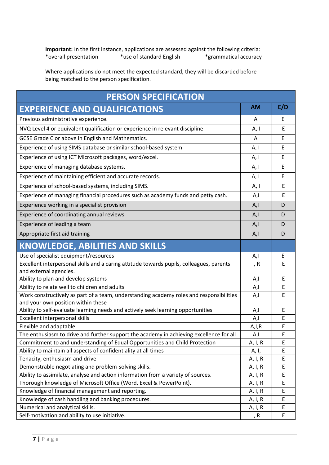**Important:** In the first instance, applications are assessed against the following criteria:<br>\*overall presentation \*use of standard English \*grammatical accuracy \*overall presentation \*use of standard English

Where applications do not meet the expected standard, they will be discarded before being matched to the person specification.

| <b>PERSON SPECIFICATION</b>                                                                                                   |           |     |  |
|-------------------------------------------------------------------------------------------------------------------------------|-----------|-----|--|
| <b>EXPERIENCE AND QUALIFICATIONS</b>                                                                                          | <b>AM</b> | E/D |  |
| Previous administrative experience.                                                                                           | A         | E   |  |
| NVQ Level 4 or equivalent qualification or experience in relevant discipline                                                  | A, I      | E   |  |
| GCSE Grade C or above in English and Mathematics.                                                                             | A         | E   |  |
| Experience of using SIMS database or similar school-based system                                                              | A, I      | E   |  |
| Experience of using ICT Microsoft packages, word/excel.                                                                       | A, I      | E   |  |
| Experience of managing database systems.                                                                                      | A, I      | E   |  |
| Experience of maintaining efficient and accurate records.                                                                     | A, I      | E   |  |
| Experience of school-based systems, including SIMS.                                                                           | A, I      | E   |  |
| Experience of managing financial procedures such as academy funds and petty cash.                                             | A,I       | E   |  |
| Experience working in a specialist provision                                                                                  | A, I      | D   |  |
| Experience of coordinating annual reviews                                                                                     | A, I      | D   |  |
| Experience of leading a team                                                                                                  | A, I      | D   |  |
| Appropriate first aid training                                                                                                | A,I       | D   |  |
| <b>KNOWLEDGE, ABILITIES AND SKILLS</b>                                                                                        |           |     |  |
| Use of specialist equipment/resources                                                                                         | A,I       | E   |  |
| Excellent interpersonal skills and a caring attitude towards pupils, colleagues, parents                                      | I, R      | E   |  |
| and external agencies.                                                                                                        |           |     |  |
| Ability to plan and develop systems                                                                                           | A,I       | E   |  |
| Ability to relate well to children and adults                                                                                 | A,I       | Ε   |  |
| Work constructively as part of a team, understanding academy roles and responsibilities<br>and your own position within these | A,I       | E   |  |
| Ability to self-evaluate learning needs and actively seek learning opportunities                                              | A,I       | Ε   |  |
| Excellent interpersonal skills                                                                                                | A,I       | E   |  |
| Flexible and adaptable                                                                                                        | A, I, R   | E   |  |
| The enthusiasm to drive and further support the academy in achieving excellence for all                                       | A,I       | E   |  |
| Commitment to and understanding of Equal Opportunities and Child Protection                                                   | A, I, R   | E   |  |
| Ability to maintain all aspects of confidentiality at all times                                                               | A, I,     | E   |  |
| Tenacity, enthusiasm and drive                                                                                                | A, I, R   | Е   |  |
| Demonstrable negotiating and problem-solving skills.                                                                          | A, I, R   | E   |  |
| Ability to assimilate, analyse and action information from a variety of sources.                                              | A, I, R   | E   |  |
| Thorough knowledge of Microsoft Office (Word, Excel & PowerPoint).                                                            | A, I, R   | E   |  |
| Knowledge of financial management and reporting.                                                                              | A, I, R   | E   |  |
| Knowledge of cash handling and banking procedures.                                                                            | A, I, R   | E   |  |
| Numerical and analytical skills.                                                                                              | A, I, R   | E   |  |
| Self-motivation and ability to use initiative.                                                                                | I, R      | E   |  |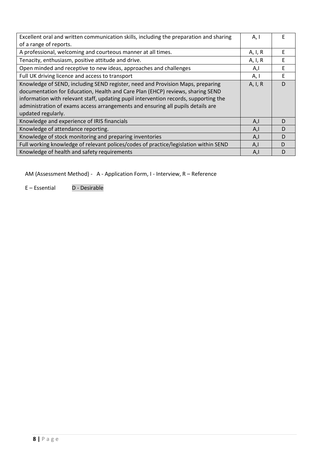| Excellent oral and written communication skills, including the preparation and sharing | A, I    | F |
|----------------------------------------------------------------------------------------|---------|---|
| of a range of reports.                                                                 |         |   |
| A professional, welcoming and courteous manner at all times.                           | A, I, R | F |
| Tenacity, enthusiasm, positive attitude and drive.                                     | A, I, R | E |
| Open minded and receptive to new ideas, approaches and challenges                      | A,I     | F |
| Full UK driving licence and access to transport                                        | A, I    | E |
| Knowledge of SEND, including SEND register, need and Provision Maps, preparing         | A, I, R | D |
| documentation for Education, Health and Care Plan (EHCP) reviews, sharing SEND         |         |   |
| information with relevant staff, updating pupil intervention records, supporting the   |         |   |
| administration of exams access arrangements and ensuring all pupils details are        |         |   |
| updated regularly.                                                                     |         |   |
| Knowledge and experience of IRIS financials                                            | A,I     | D |
| Knowledge of attendance reporting.                                                     | A,I     | D |
| Knowledge of stock monitoring and preparing inventories                                | A,I     | D |
| Full working knowledge of relevant polices/codes of practice/legislation within SEND   | A,l     | D |
| Knowledge of health and safety requirements                                            | A,I     | D |

AM (Assessment Method) - A - Application Form, I - Interview, R – Reference

E – Essential D - Desirable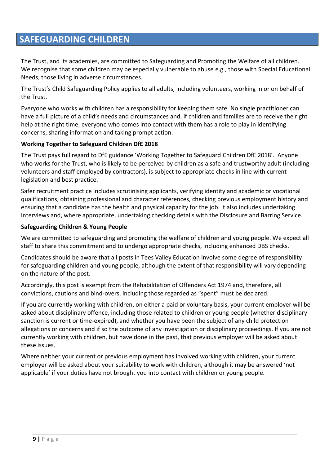# **SAFEGUARDING CHILDREN**

The Trust, and its academies, are committed to Safeguarding and Promoting the Welfare of all children. We recognise that some children may be especially vulnerable to abuse e.g., those with Special Educational Needs, those living in adverse circumstances.

The Trust's Child Safeguarding Policy applies to all adults, including volunteers, working in or on behalf of the Trust.

Everyone who works with children has a responsibility for keeping them safe. No single practitioner can have a full picture of a child's needs and circumstances and, if children and families are to receive the right help at the right time, everyone who comes into contact with them has a role to play in identifying concerns, sharing information and taking prompt action.

### **Working Together to Safeguard Children DfE 2018**

The Trust pays full regard to DfE guidance 'Working Together to Safeguard Children DfE 2018'. Anyone who works for the Trust, who is likely to be perceived by children as a safe and trustworthy adult (including volunteers and staff employed by contractors), is subject to appropriate checks in line with current legislation and best practice.

Safer recruitment practice includes scrutinising applicants, verifying identity and academic or vocational qualifications, obtaining professional and character references, checking previous employment history and ensuring that a candidate has the health and physical capacity for the job. It also includes undertaking interviews and, where appropriate, undertaking checking details with the Disclosure and Barring Service.

### **Safeguarding Children & Young People**

We are committed to safeguarding and promoting the welfare of children and young people. We expect all staff to share this commitment and to undergo appropriate checks, including enhanced DBS checks.

Candidates should be aware that all posts in Tees Valley Education involve some degree of responsibility for safeguarding children and young people, although the extent of that responsibility will vary depending on the nature of the post.

Accordingly, this post is exempt from the Rehabilitation of Offenders Act 1974 and, therefore, all convictions, cautions and bind-overs, including those regarded as "spent" must be declared.

If you are currently working with children, on either a paid or voluntary basis, your current employer will be asked about disciplinary offence, including those related to children or young people (whether disciplinary sanction is current or time-expired), and whether you have been the subject of any child protection allegations or concerns and if so the outcome of any investigation or disciplinary proceedings. If you are not currently working with children, but have done in the past, that previous employer will be asked about these issues.

Where neither your current or previous employment has involved working with children, your current employer will be asked about your suitability to work with children, although it may be answered 'not applicable' if your duties have not brought you into contact with children or young people.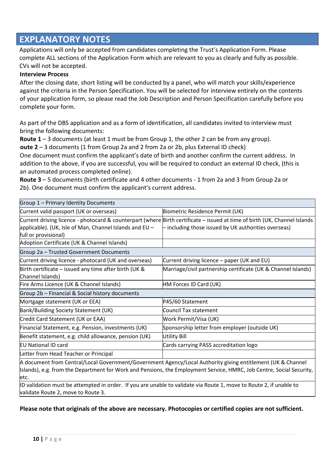# **EXPLANATORY NOTES**

Applications will only be accepted from candidates completing the Trust's Application Form. Please complete ALL sections of the Application Form which are relevant to you as clearly and fully as possible. CVs will not be accepted.

#### **Interview Process**

After the closing date, short listing will be conducted by a panel, who will match your skills/experience against the criteria in the Person Specification. You will be selected for interview entirely on the contents of your application form, so please read the Job Description and Person Specification carefully before you complete your form.

As part of the DBS application and as a form of identification, all candidates invited to interview must bring the following documents:

**Route 1** – 3 documents (at least 1 must be from Group 1, the other 2 can be from any group).

**oute 2** – 3 documents (1 from Group 2a and 2 from 2a or 2b, plus External ID check)

One document must confirm the applicant's date of birth and another confirm the current address. In addition to the above, if you are successful, you will be required to conduct an external ID check, (this is an automated process completed online).

**Route 3** – 5 documents (birth certificate and 4 other documents - 1 from 2a and 3 from Group 2a or 2b). One document must confirm the applicant's current address.

| Group 1 - Primary Identity Documents                    |                                                                                                                                                                                                                                                                                     |
|---------------------------------------------------------|-------------------------------------------------------------------------------------------------------------------------------------------------------------------------------------------------------------------------------------------------------------------------------------|
| Current valid passport (UK or overseas)                 | Biometric Residence Permit (UK)                                                                                                                                                                                                                                                     |
|                                                         | Current driving licence - photocard & counterpart (where Birth certificate - issued at time of birth (UK, Channel Islands                                                                                                                                                           |
| applicable). (UK, Isle of Man, Channel Islands and EU - | $-$ including those issued by UK authorities overseas)                                                                                                                                                                                                                              |
| full or provisional)                                    |                                                                                                                                                                                                                                                                                     |
| Adoption Certificate (UK & Channel Islands)             |                                                                                                                                                                                                                                                                                     |
| Group 2a - Trusted Government Documents                 |                                                                                                                                                                                                                                                                                     |
| Current driving licence - photocard (UK and overseas)   | Current driving licence – paper (UK and EU)                                                                                                                                                                                                                                         |
| Birth certificate $-$ issued any time after birth (UK & | Marriage/civil partnership certificate (UK & Channel Islands)                                                                                                                                                                                                                       |
| Channel Islands)                                        |                                                                                                                                                                                                                                                                                     |
| Fire Arms Licence (UK & Channel Islands)                | HM Forces ID Card (UK)                                                                                                                                                                                                                                                              |
| Group 2b - Financial & Social history documents         |                                                                                                                                                                                                                                                                                     |
| Mortgage statement (UK or EEA)                          | P45/60 Statement                                                                                                                                                                                                                                                                    |
| Bank/Building Society Statement (UK)                    | Council Tax statement                                                                                                                                                                                                                                                               |
| Credit Card Statement (UK or EAA)                       | Work Permit/Visa (UK)                                                                                                                                                                                                                                                               |
| Financial Statement, e.g. Pension, investments (UK)     | Sponsorship letter from employer (outside UK)                                                                                                                                                                                                                                       |
| Benefit statement, e.g. child allowance, pension (UK)   | Utility Bill                                                                                                                                                                                                                                                                        |
| <b>EU National ID card</b>                              | Cards carrying PASS accreditation logo                                                                                                                                                                                                                                              |
| Letter from Head Teacher or Principal                   |                                                                                                                                                                                                                                                                                     |
|                                                         | $\mathbf{r}$ . The set of the set of the set of the set of the set of the set of the set of the set of the set of the set of the set of the set of the set of the set of the set of the set of the set of the set of the set of t<br>$\cdot$ $\cdot$ $\cdot$ $\cdot$ $\sim$ $\cdot$ |

A document from Central/Local Government/Government Agency/Local Authority giving entitlement (UK & Channel Islands), e.g. from the Department for Work and Pensions, the Employment Service, HMRC, Job Centre, Social Security, etc.

ID validation must be attempted in order. If you are unable to validate via Route 1, move to Route 2, if unable to validate Route 2, move to Route 3.

**Please note that originals of the above are necessary. Photocopies or certified copies are not sufficient.**